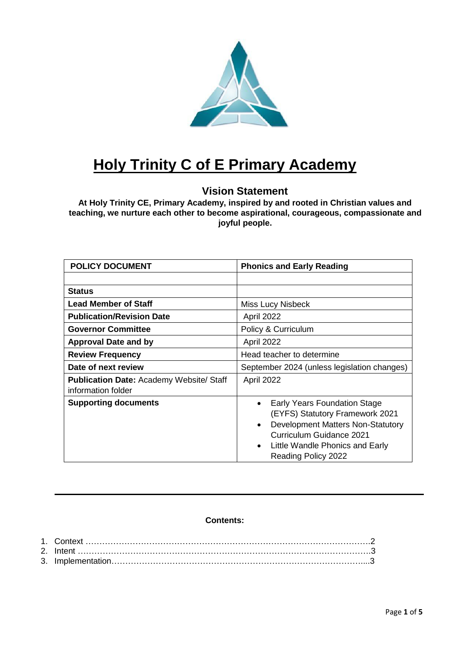

# **Holy Trinity C of E Primary Academy**

# **Vision Statement**

**At Holy Trinity CE, Primary Academy, inspired by and rooted in Christian values and teaching, we nurture each other to become aspirational, courageous, compassionate and joyful people.**

| <b>POLICY DOCUMENT</b>                                                | <b>Phonics and Early Reading</b>                                                                                                                                                                |  |
|-----------------------------------------------------------------------|-------------------------------------------------------------------------------------------------------------------------------------------------------------------------------------------------|--|
|                                                                       |                                                                                                                                                                                                 |  |
| <b>Status</b>                                                         |                                                                                                                                                                                                 |  |
| <b>Lead Member of Staff</b>                                           | Miss Lucy Nisbeck                                                                                                                                                                               |  |
| <b>Publication/Revision Date</b>                                      | April 2022                                                                                                                                                                                      |  |
| <b>Governor Committee</b>                                             | Policy & Curriculum                                                                                                                                                                             |  |
| <b>Approval Date and by</b>                                           | April 2022                                                                                                                                                                                      |  |
| <b>Review Frequency</b>                                               | Head teacher to determine                                                                                                                                                                       |  |
| Date of next review                                                   | September 2024 (unless legislation changes)                                                                                                                                                     |  |
| <b>Publication Date: Academy Website/ Staff</b><br>information folder | April 2022                                                                                                                                                                                      |  |
| <b>Supporting documents</b>                                           | Early Years Foundation Stage<br>(EYFS) Statutory Framework 2021<br>Development Matters Non-Statutory<br>Curriculum Guidance 2021<br>Little Wandle Phonics and Early<br>٠<br>Reading Policy 2022 |  |

# **Contents:**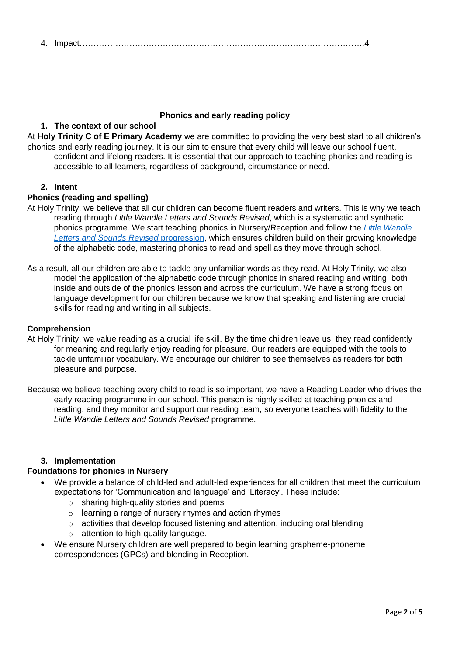# 4. Impact………………………………………………………………………………………….4

#### **Phonics and early reading policy**

## **1. The context of our school**

At **Holy Trinity C of E Primary Academy** we are committed to providing the very best start to all children's phonics and early reading journey. It is our aim to ensure that every child will leave our school fluent, confident and lifelong readers. It is essential that our approach to teaching phonics and reading is accessible to all learners, regardless of background, circumstance or need.

#### **2. Intent**

#### **Phonics (reading and spelling)**

- At Holy Trinity, we believe that all our children can become fluent readers and writers. This is why we teach reading through *Little Wandle Letters and Sounds Revised*, which is a systematic and synthetic phonics programme. We start teaching phonics in Nursery/Reception and follow the *[Little Wandle](https://www.littlewandlelettersandsounds.org.uk/wp-content/uploads/2021/06/Programme-Overview_Reception-and-Year-1.pdf)  [Letters and Sounds Revised](https://www.littlewandlelettersandsounds.org.uk/wp-content/uploads/2021/06/Programme-Overview_Reception-and-Year-1.pdf)* progression, which ensures children build on their growing knowledge of the alphabetic code, mastering phonics to read and spell as they move through school.
- As a result, all our children are able to tackle any unfamiliar words as they read. At Holy Trinity, we also model the application of the alphabetic code through phonics in shared reading and writing, both inside and outside of the phonics lesson and across the curriculum. We have a strong focus on language development for our children because we know that speaking and listening are crucial skills for reading and writing in all subjects.

#### **Comprehension**

- At Holy Trinity, we value reading as a crucial life skill. By the time children leave us, they read confidently for meaning and regularly enjoy reading for pleasure. Our readers are equipped with the tools to tackle unfamiliar vocabulary. We encourage our children to see themselves as readers for both pleasure and purpose.
- Because we believe teaching every child to read is so important, we have a Reading Leader who drives the early reading programme in our school. This person is highly skilled at teaching phonics and reading, and they monitor and support our reading team, so everyone teaches with fidelity to the *Little Wandle Letters and Sounds Revised* programme.

#### **3. Implementation**

#### **Foundations for phonics in Nursery**

- We provide a balance of child-led and adult-led experiences for all children that meet the curriculum expectations for 'Communication and language' and 'Literacy'. These include:
	- o sharing high-quality stories and poems
	- o learning a range of nursery rhymes and action rhymes
	- o activities that develop focused listening and attention, including oral blending
	- o attention to high-quality language.
- We ensure Nursery children are well prepared to begin learning grapheme-phoneme correspondences (GPCs) and blending in Reception.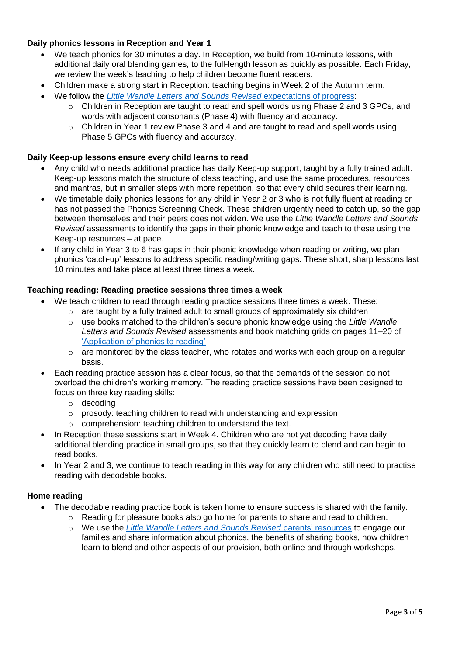# **Daily phonics lessons in Reception and Year 1**

- We teach phonics for 30 minutes a day. In Reception, we build from 10-minute lessons, with additional daily oral blending games, to the full-length lesson as quickly as possible. Each Friday, we review the week's teaching to help children become fluent readers.
- Children make a strong start in Reception: teaching begins in Week 2 of the Autumn term.
- We follow the *[Little Wandle Letters and Sounds Revised](https://www.littlewandlelettersandsounds.org.uk/wp-content/uploads/2021/06/Programme-Overview_Reception-and-Year-1.pdf)* expectations of progress:
	- o Children in Reception are taught to read and spell words using Phase 2 and 3 GPCs, and words with adjacent consonants (Phase 4) with fluency and accuracy.
	- $\circ$  Children in Year 1 review Phase 3 and 4 and are taught to read and spell words using Phase 5 GPCs with fluency and accuracy.

#### **Daily Keep-up lessons ensure every child learns to read**

- Any child who needs additional practice has daily Keep-up support, taught by a fully trained adult. Keep-up lessons match the structure of class teaching, and use the same procedures, resources and mantras, but in smaller steps with more repetition, so that every child secures their learning.
- We timetable daily phonics lessons for any child in Year 2 or 3 who is not fully fluent at reading or has not passed the Phonics Screening Check. These children urgently need to catch up, so the gap between themselves and their peers does not widen. We use the *Little Wandle Letters and Sounds Revised* assessments to identify the gaps in their phonic knowledge and teach to these using the Keep-up resources – at pace.
- If any child in Year 3 to 6 has gaps in their phonic knowledge when reading or writing, we plan phonics 'catch-up' lessons to address specific reading/writing gaps. These short, sharp lessons last 10 minutes and take place at least three times a week.

#### **Teaching reading: Reading practice sessions three times a week**

- We teach children to read through reading practice sessions three times a week. These:
	- $\circ$  are taught by a fully trained adult to small groups of approximately six children
		- o use books matched to the children's secure phonic knowledge using the *Little Wandle Letters and Sounds Revised* assessments and book matching grids on pages 11–20 of ['Application of phonics to reading'](https://www.littlewandlelettersandsounds.org.uk/wp-content/uploads/2021/03/LS-KEY-GUIDANCE-APPLICATION-OF-PHONICS-FINAL-1.pdf)
	- $\circ$  are monitored by the class teacher, who rotates and works with each group on a regular basis.
- Each reading practice session has a clear focus, so that the demands of the session do not overload the children's working memory. The reading practice sessions have been designed to focus on three key reading skills:
	- o decoding
	- o prosody: teaching children to read with understanding and expression
	- o comprehension: teaching children to understand the text.
- In Reception these sessions start in Week 4. Children who are not yet decoding have daily additional blending practice in small groups, so that they quickly learn to blend and can begin to read books.
- In Year 2 and 3, we continue to teach reading in this way for any children who still need to practise reading with decodable books.

### **Home reading**

- The decodable reading practice book is taken home to ensure success is shared with the family.
	- o Reading for pleasure books also go home for parents to share and read to children.
	- o We use the *Little Wandle [Letters and Sounds Revised](https://www.littlewandlelettersandsounds.org.uk/resources/for-parents/)* parents' resources to engage our families and share information about phonics, the benefits of sharing books, how children learn to blend and other aspects of our provision, both online and through workshops.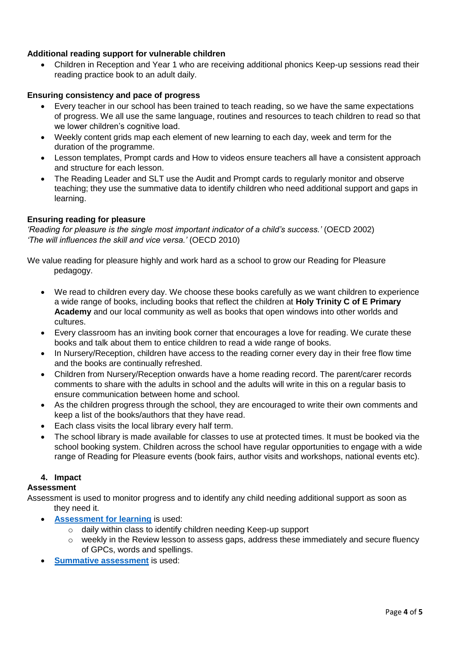## **Additional reading support for vulnerable children**

 Children in Reception and Year 1 who are receiving additional phonics Keep-up sessions read their reading practice book to an adult daily.

### **Ensuring consistency and pace of progress**

- Every teacher in our school has been trained to teach reading, so we have the same expectations of progress. We all use the same language, routines and resources to teach children to read so that we lower children's cognitive load.
- Weekly content grids map each element of new learning to each day, week and term for the duration of the programme.
- Lesson templates, Prompt cards and How to videos ensure teachers all have a consistent approach and structure for each lesson.
- The Reading Leader and SLT use the Audit and Prompt cards to regularly monitor and observe teaching; they use the summative data to identify children who need additional support and gaps in learning.

### **Ensuring reading for pleasure**

*'Reading for pleasure is the single most important indicator of a child's success.'* (OECD 2002) *'The will influences the skill and vice versa.'* (OECD 2010)

- We value reading for pleasure highly and work hard as a school to grow our Reading for Pleasure pedagogy.
	- We read to children every day. We choose these books carefully as we want children to experience a wide range of books, including books that reflect the children at **Holy Trinity C of E Primary Academy** and our local community as well as books that open windows into other worlds and cultures.
	- Every classroom has an inviting book corner that encourages a love for reading. We curate these books and talk about them to entice children to read a wide range of books.
	- In Nursery/Reception, children have access to the reading corner every day in their free flow time and the books are continually refreshed.
	- Children from Nursery/Reception onwards have a home reading record. The parent/carer records comments to share with the adults in school and the adults will write in this on a regular basis to ensure communication between home and school.
	- As the children progress through the school, they are encouraged to write their own comments and keep a list of the books/authors that they have read.
	- Each class visits the local library every half term.
	- The school library is made available for classes to use at protected times. It must be booked via the school booking system. Children across the school have regular opportunities to engage with a wide range of Reading for Pleasure events (book fairs, author visits and workshops, national events etc).

### **4. Impact**

### **Assessment**

Assessment is used to monitor progress and to identify any child needing additional support as soon as they need it.

- **[Assessment for learning](https://www.littlewandlelettersandsounds.org.uk/wp-content/uploads/2021/03/LS-KEY-GUIDANCE-GETTING-STARTED-ASSESSMENT-FINAL.pdf)** is used:
	- o daily within class to identify children needing Keep-up support
	- $\circ$  weekly in the Review lesson to assess gaps, address these immediately and secure fluency of GPCs, words and spellings.
- **[Summative assessment](https://www.littlewandlelettersandsounds.org.uk/resources/my-letters-and-sounds/assessment-tools/)** is used: